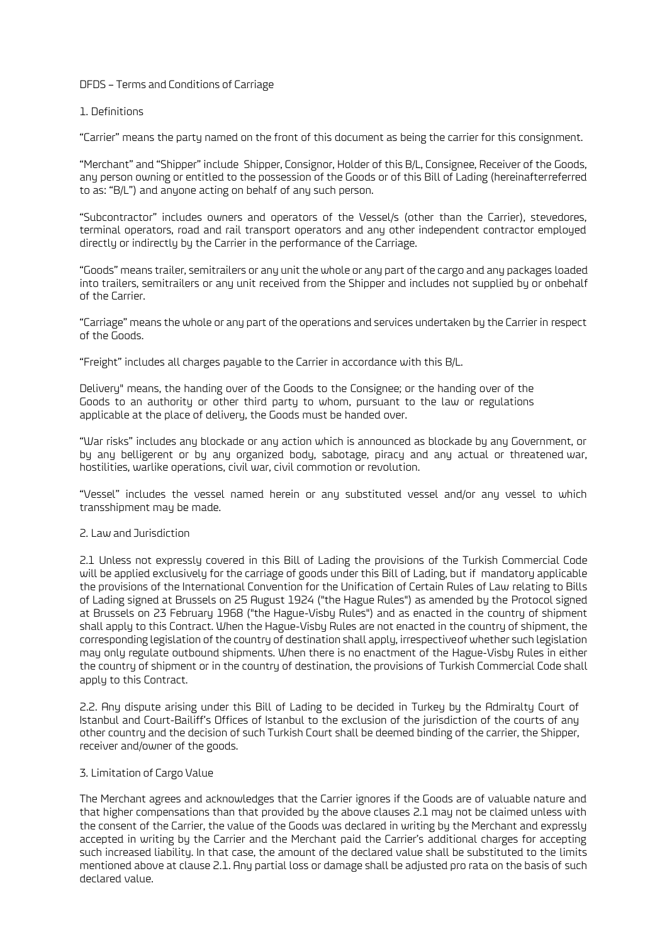### DFDS – Terms and Conditions of Carriage

### 1. Definitions

"Carrier" means the party named on the front of this document as being the carrier for this consignment.

"Merchant" and "Shipper" include Shipper, Consignor, Holder of this B/L, Consignee, Receiver of the Goods, any person owning or entitled to the possession of the Goods or of this Bill of Lading (hereinafterreferred to as: "B/L") and anyone acting on behalf of any such person.

"Subcontractor" includes owners and operators of the Vessel/s (other than the Carrier), stevedores, terminal operators, road and rail transport operators and any other independent contractor employed directly or indirectly by the Carrier in the performance of the Carriage.

"Goods" means trailer, semitrailers or any unit the whole or any part of the cargo and any packages loaded into trailers, semitrailers or any unit received from the Shipper and includes not supplied by or onbehalf of the Carrier.

"Carriage" means the whole or any part of the operations and services undertaken by the Carrier in respect of the Goods.

"Freight" includes all charges payable to the Carrier in accordance with this B/L.

Delivery" means, the handing over of the Goods to the Consignee; or the handing over of the Goods to an authority or other third party to whom, pursuant to the law or regulations applicable at the place of delivery, the Goods must be handed over.

"War risks" includes any blockade or any action which is announced as blockade by any Government, or by any belligerent or by any organized body, sabotage, piracy and any actual or threatened war, hostilities, warlike operations, civil war, civil commotion or revolution.

"Vessel" includes the vessel named herein or any substituted vessel and/or any vessel to which transshipment may be made.

## 2. Law and Jurisdiction

2.1 Unless not expressly covered in this Bill of Lading the provisions of the Turkish Commercial Code will be applied exclusively for the carriage of goods under this Bill of Lading, but if mandatory applicable the provisions of the International Convention for the Unification of Certain Rules of Law relating to Bills of Lading signed at Brussels on 25 August 1924 ("the Hague Rules") as amended by the Protocol signed at Brussels on 23 February 1968 ("the Hague-Visby Rules") and as enacted in the country of shipment shall apply to this Contract. When the Hague-Visby Rules are not enacted in the country of shipment, the corresponding legislation of the country of destination shall apply, irrespectiveof whether such legislation may only regulate outbound shipments. When there is no enactment of the Hague-Visby Rules in either the country of shipment or in the country of destination, the provisions of Turkish Commercial Code shall apply to this Contract.

2.2. Any dispute arising under this Bill of Lading to be decided in Turkey by the Admiralty Court of Istanbul and Court-Bailiff's Offices of Istanbul to the exclusion of the jurisdiction of the courts of any other country and the decision of such Turkish Court shall be deemed binding of the carrier, the Shipper, receiver and/owner of the goods.

# 3. Limitation of Cargo Value

The Merchant agrees and acknowledges that the Carrier ignores if the Goods are of valuable nature and that higher compensations than that provided by the above clauses 2.1 may not be claimed unless with the consent of the Carrier, the value of the Goods was declared in writing by the Merchant and expressly accepted in writing by the Carrier and the Merchant paid the Carrier's additional charges for accepting such increased liability. In that case, the amount of the declared value shall be substituted to the limits mentioned above at clause 2.1. Any partial loss or damage shall be adjusted pro rata on the basis of such declared value.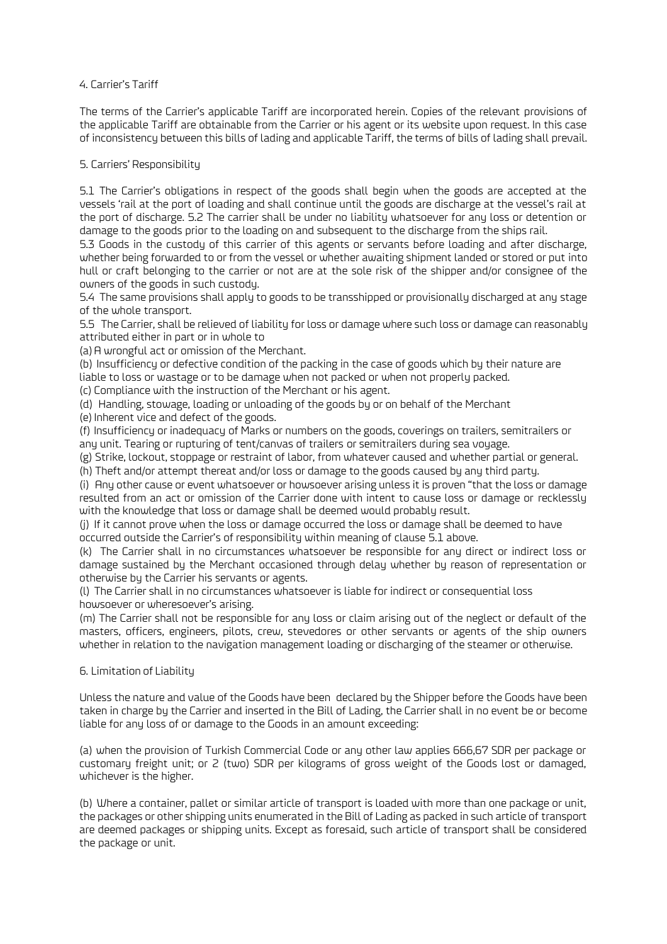# 4. Carrier's Tariff

The terms of the Carrier's applicable Tariff are incorporated herein. Copies of the relevant provisions of the applicable Tariff are obtainable from the Carrier or his agent or its website upon request. In this case of inconsistency between this bills of lading and applicable Tariff, the terms of bills of lading shall prevail.

## 5. Carriers' Responsibility

5.1 The Carrier's obligations in respect of the goods shall begin when the goods are accepted at the vessels 'rail at the port of loading and shall continue until the goods are discharge at the vessel's rail at the port of discharge. 5.2 The carrier shall be under no liability whatsoever for any loss or detention or damage to the goods prior to the loading on and subsequent to the discharge from the ships rail.

5.3 Goods in the custody of this carrier of this agents or servants before loading and after discharge, whether being forwarded to or from the vessel or whether awaiting shipment landed or stored or put into hull or craft belonging to the carrier or not are at the sole risk of the shipper and/or consignee of the owners of the goods in such custody.

5.4 The same provisions shall apply to goods to be transshipped or provisionally discharged at any stage of the whole transport.

5.5 The Carrier, shall be relieved of liability for loss or damage where such loss or damage can reasonably attributed either in part or in whole to

(a) A wrongful act or omission of the Merchant.

(b) Insufficiency or defective condition of the packing in the case of goods which by their nature are liable to loss or wastage or to be damage when not packed or when not properly packed.

(c) Compliance with the instruction of the Merchant or his agent.

(d) Handling, stowage, loading or unloading of the goods by or on behalf of the Merchant

(e) Inherent vice and defect of the goods.

(f) Insufficiency or inadequacy of Marks or numbers on the goods, coverings on trailers, semitrailers or any unit. Tearing or rupturing of tent/canvas of trailers or semitrailers during sea voyage.

(g) Strike, lockout, stoppage or restraint of labor, from whatever caused and whether partial or general.

(h) Theft and/or attempt thereat and/or loss or damage to the goods caused by any third party.

(i) Any other cause or event whatsoever or howsoever arising unless it is proven "that the loss or damage resulted from an act or omission of the Carrier done with intent to cause loss or damage or recklessly with the knowledge that loss or damage shall be deemed would probably result.

(j) If it cannot prove when the loss or damage occurred the loss or damage shall be deemed to have occurred outside the Carrier's of responsibility within meaning of clause 5.1 above.

(k) The Carrier shall in no circumstances whatsoever be responsible for any direct or indirect loss or damage sustained by the Merchant occasioned through delay whether by reason of representation or otherwise by the Carrier his servants or agents.

(l) The Carrier shall in no circumstances whatsoever is liable for indirect or consequential loss howsoever or wheresoever's arising.

(m) The Carrier shall not be responsible for any loss or claim arising out of the neglect or default of the masters, officers, engineers, pilots, crew, stevedores or other servants or agents of the ship owners whether in relation to the navigation management loading or discharging of the steamer or otherwise.

# 6. Limitation of Liability

Unless the nature and value of the Goods have been declared by the Shipper before the Goods have been taken in charge by the Carrier and inserted in the Bill of Lading, the Carrier shall in no event be or become liable for any loss of or damage to the Goods in an amount exceeding:

(a) when the provision of Turkish Commercial Code or any other law applies 666,67 SDR per package or customary freight unit; or 2 (two) SDR per kilograms of gross weight of the Goods lost or damaged, whichever is the higher.

(b) Where a container, pallet or similar article of transport is loaded with more than one package or unit, the packages or other shipping units enumerated in the Bill of Lading as packed in such article of transport are deemed packages or shipping units. Except as foresaid, such article of transport shall be considered the package or unit.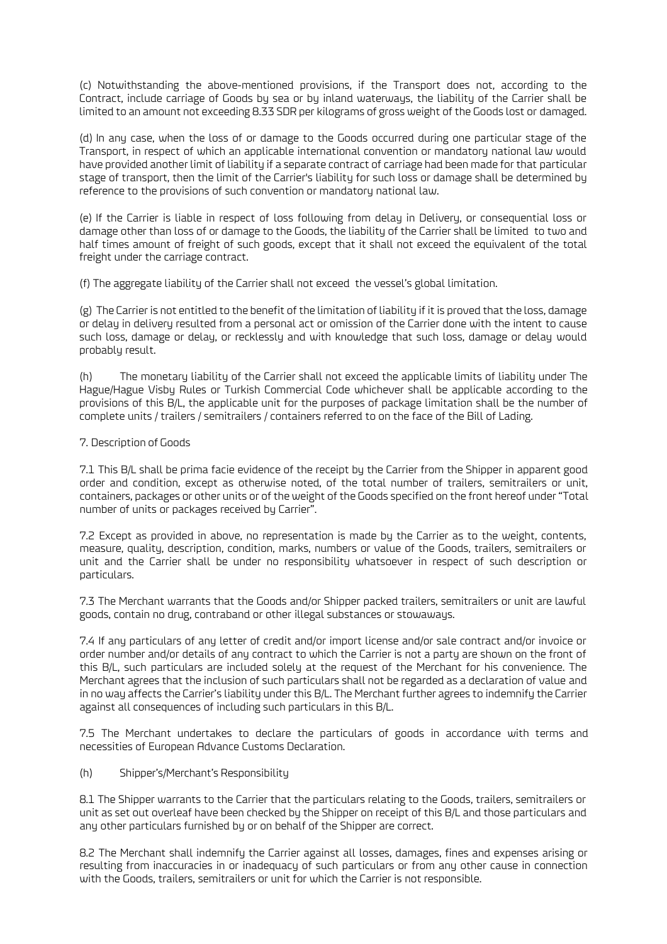(c) Notwithstanding the above-mentioned provisions, if the Transport does not, according to the Contract, include carriage of Goods by sea or by inland waterways, the liability of the Carrier shall be limited to an amount not exceeding 8.33 SDR per kilograms of gross weight of the Goods lost or damaged.

(d) In any case, when the loss of or damage to the Goods occurred during one particular stage of the Transport, in respect of which an applicable international convention or mandatory national law would have provided another limit of liability if a separate contract of carriage had been made for that particular stage of transport, then the limit of the Carrier's liability for such loss or damage shall be determined by reference to the provisions of such convention or mandatory national law.

(e) If the Carrier is liable in respect of loss following from delay in Delivery, or consequential loss or damage other than loss of or damage to the Goods, the liability of the Carrier shall be limited to two and half times amount of freight of such goods, except that it shall not exceed the equivalent of the total freight under the carriage contract.

(f) The aggregate liability of the Carrier shall not exceed the vessel's global limitation.

(g) The Carrier is not entitled to the benefit of the limitation of liability if it is proved that the loss, damage or delay in delivery resulted from a personal act or omission of the Carrier done with the intent to cause such loss, damage or delay, or recklessly and with knowledge that such loss, damage or delay would probably result.

(h) The monetary liability of the Carrier shall not exceed the applicable limits of liability under The Hague/Hague Visby Rules or Turkish Commercial Code whichever shall be applicable according to the provisions of this B/L, the applicable unit for the purposes of package limitation shall be the number of complete units / trailers / semitrailers / containers referred to on the face of the Bill of Lading.

### 7. Description of Goods

7.1 This B/L shall be prima facie evidence of the receipt by the Carrier from the Shipper in apparent good order and condition, except as otherwise noted, of the total number of trailers, semitrailers or unit, containers, packages or other units or of the weight of the Goods specified on the front hereof under "Total number of units or packages received by Carrier".

7.2 Except as provided in above, no representation is made by the Carrier as to the weight, contents, measure, quality, description, condition, marks, numbers or value of the Goods, trailers, semitrailers or unit and the Carrier shall be under no responsibility whatsoever in respect of such description or particulars.

7.3 The Merchant warrants that the Goods and/or Shipper packed trailers, semitrailers or unit are lawful goods, contain no drug, contraband or other illegal substances or stowaways.

7.4 If any particulars of any letter of credit and/or import license and/or sale contract and/or invoice or order number and/or details of any contract to which the Carrier is not a party are shown on the front of this B/L, such particulars are included solely at the request of the Merchant for his convenience. The Merchant agrees that the inclusion of such particulars shall not be regarded as a declaration of value and in no way affects the Carrier's liability under this B/L. The Merchant further agrees to indemnify the Carrier against all consequences of including such particulars in this B/L.

7.5 The Merchant undertakes to declare the particulars of goods in accordance with terms and necessities of European Advance Customs Declaration.

(h) Shipper's/Merchant's Responsibility

8.1 The Shipper warrants to the Carrier that the particulars relating to the Goods, trailers, semitrailers or unit as set out overleaf have been checked by the Shipper on receipt of this B/L and those particulars and any other particulars furnished by or on behalf of the Shipper are correct.

8.2 The Merchant shall indemnify the Carrier against all losses, damages, fines and expenses arising or resulting from inaccuracies in or inadequacy of such particulars or from any other cause in connection with the Goods, trailers, semitrailers or unit for which the Carrier is not responsible.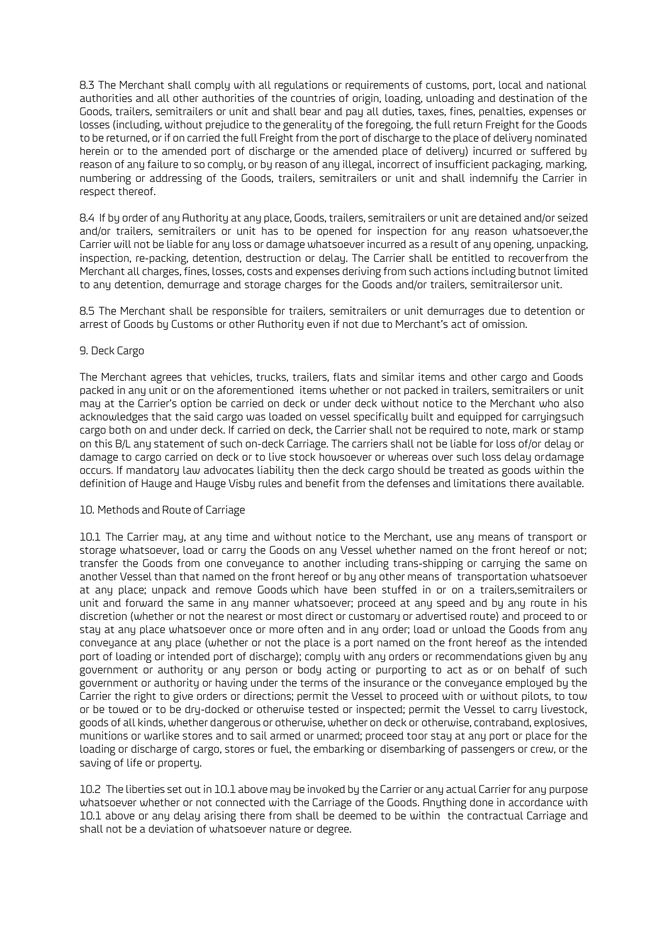8.3 The Merchant shall comply with all regulations or requirements of customs, port, local and national authorities and all other authorities of the countries of origin, loading, unloading and destination of the Goods, trailers, semitrailers or unit and shall bear and pay all duties, taxes, fines, penalties, expenses or losses (including, without prejudice to the generality of the foregoing, the full return Freight for the Goods to be returned, or if on carried the full Freight from the port of discharge to the place of delivery nominated herein or to the amended port of discharge or the amended place of delivery) incurred or suffered by reason of any failure to so comply, or by reason of any illegal, incorrect of insufficient packaging, marking, numbering or addressing of the Goods, trailers, semitrailers or unit and shall indemnify the Carrier in respect thereof.

8.4 If by order of any Authority at any place, Goods, trailers, semitrailers or unit are detained and/or seized and/or trailers, semitrailers or unit has to be opened for inspection for any reason whatsoever,the Carrier will not be liable for any loss or damage whatsoever incurred as a result of any opening, unpacking, inspection, re-packing, detention, destruction or delay. The Carrier shall be entitled to recoverfrom the Merchant all charges, fines, losses, costs and expenses deriving from such actions including butnot limited to any detention, demurrage and storage charges for the Goods and/or trailers, semitrailersor unit.

8.5 The Merchant shall be responsible for trailers, semitrailers or unit demurrages due to detention or arrest of Goods by Customs or other Authority even if not due to Merchant's act of omission.

### 9. Deck Cargo

The Merchant agrees that vehicles, trucks, trailers, flats and similar items and other cargo and Goods packed in any unit or on the aforementioned items whether or not packed in trailers, semitrailers or unit may at the Carrier's option be carried on deck or under deck without notice to the Merchant who also acknowledges that the said cargo was loaded on vessel specifically built and equipped for carryingsuch cargo both on and under deck. If carried on deck, the Carrier shall not be required to note, mark or stamp on this B/L any statement of such on-deck Carriage. The carriers shall not be liable for loss of/or delay or damage to cargo carried on deck or to live stock howsoever or whereas over such loss delay ordamage occurs. If mandatory law advocates liability then the deck cargo should be treated as goods within the definition of Hauge and Hauge Visby rules and benefit from the defenses and limitations there available.

### 10. Methods and Route of Carriage

10.1 The Carrier may, at any time and without notice to the Merchant, use any means of transport or storage whatsoever, load or carry the Goods on any Vessel whether named on the front hereof or not; transfer the Goods from one conveyance to another including trans-shipping or carrying the same on another Vessel than that named on the front hereof or by any other means of transportation whatsoever at any place; unpack and remove Goods which have been stuffed in or on a trailers,semitrailers or unit and forward the same in any manner whatsoever; proceed at any speed and by any route in his discretion (whether or not the nearest or most direct or customary or advertised route) and proceed to or stay at any place whatsoever once or more often and in any order; load or unload the Goods from any conveyance at any place (whether or not the place is a port named on the front hereof as the intended port of loading or intended port of discharge); comply with any orders or recommendations given by any government or authority or any person or body acting or purporting to act as or on behalf of such government or authority or having under the terms of the insurance or the conveyance employed by the Carrier the right to give orders or directions; permit the Vessel to proceed with or without pilots, to tow or be towed or to be dry-docked or otherwise tested or inspected; permit the Vessel to carry livestock, goods of all kinds, whether dangerous or otherwise, whether on deck or otherwise, contraband, explosives, munitions or warlike stores and to sail armed or unarmed; proceed toor stay at any port or place for the loading or discharge of cargo, stores or fuel, the embarking or disembarking of passengers or crew, or the saving of life or property.

10.2 The liberties set out in 10.1 above may be invoked by the Carrier or any actual Carrier for any purpose whatsoever whether or not connected with the Carriage of the Goods. Anything done in accordance with 10.1 above or any delay arising there from shall be deemed to be within the contractual Carriage and shall not be a deviation of whatsoever nature or degree.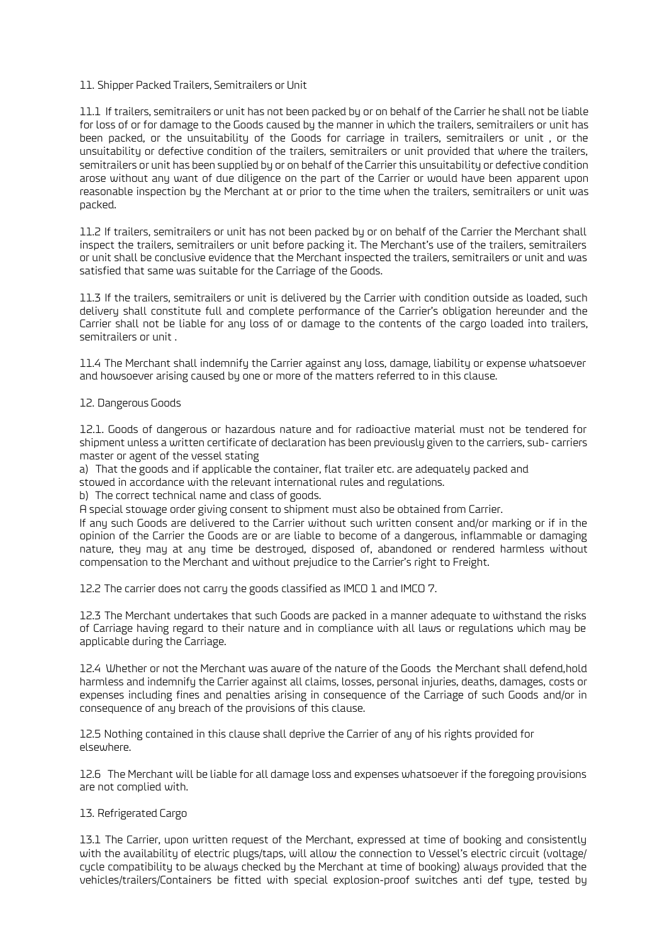### 11. Shipper Packed Trailers, Semitrailers or Unit

11.1 If trailers, semitrailers or unit has not been packed by or on behalf of the Carrier he shall not be liable for loss of or for damage to the Goods caused by the manner in which the trailers, semitrailers or unit has been packed, or the unsuitability of the Goods for carriage in trailers, semitrailers or unit , or the unsuitability or defective condition of the trailers, semitrailers or unit provided that where the trailers, semitrailers or unit has been supplied by or on behalf of the Carrier this unsuitability or defective condition arose without any want of due diligence on the part of the Carrier or would have been apparent upon reasonable inspection by the Merchant at or prior to the time when the trailers, semitrailers or unit was packed.

11.2 If trailers, semitrailers or unit has not been packed by or on behalf of the Carrier the Merchant shall inspect the trailers, semitrailers or unit before packing it. The Merchant's use of the trailers, semitrailers or unit shall be conclusive evidence that the Merchant inspected the trailers, semitrailers or unit and was satisfied that same was suitable for the Carriage of the Goods.

11.3 If the trailers, semitrailers or unit is delivered by the Carrier with condition outside as loaded, such delivery shall constitute full and complete performance of the Carrier's obligation hereunder and the Carrier shall not be liable for any loss of or damage to the contents of the cargo loaded into trailers, semitrailers or unit .

11.4 The Merchant shall indemnify the Carrier against any loss, damage, liability or expense whatsoever and howsoever arising caused by one or more of the matters referred to in this clause.

### 12. Dangerous Goods

12.1. Goods of dangerous or hazardous nature and for radioactive material must not be tendered for shipment unless a written certificate of declaration has been previously given to the carriers, sub- carriers master or agent of the vessel stating

a) That the goods and if applicable the container, flat trailer etc. are adequately packed and

stowed in accordance with the relevant international rules and regulations.

b) The correct technical name and class of goods.

A special stowage order giving consent to shipment must also be obtained from Carrier.

If any such Goods are delivered to the Carrier without such written consent and/or marking or if in the opinion of the Carrier the Goods are or are liable to become of a dangerous, inflammable or damaging nature, they may at any time be destroyed, disposed of, abandoned or rendered harmless without compensation to the Merchant and without prejudice to the Carrier's right to Freight.

12.2 The carrier does not carry the goods classified as IMCO 1 and IMCO 7.

12.3 The Merchant undertakes that such Goods are packed in a manner adequate to withstand the risks of Carriage having regard to their nature and in compliance with all laws or regulations which may be applicable during the Carriage.

12.4 Whether or not the Merchant was aware of the nature of the Goods the Merchant shall defend,hold harmless and indemnify the Carrier against all claims, losses, personal injuries, deaths, damages, costs or expenses including fines and penalties arising in consequence of the Carriage of such Goods and/or in consequence of any breach of the provisions of this clause.

12.5 Nothing contained in this clause shall deprive the Carrier of any of his rights provided for elsewhere.

12.6 The Merchant will be liable for all damage loss and expenses whatsoever if the foregoing provisions are not complied with.

# 13. Refrigerated Cargo

13.1 The Carrier, upon written request of the Merchant, expressed at time of booking and consistently with the availability of electric plugs/taps, will allow the connection to Vessel's electric circuit (voltage/ cycle compatibility to be always checked by the Merchant at time of booking) always provided that the vehicles/trailers/Containers be fitted with special explosion-proof switches anti def type, tested by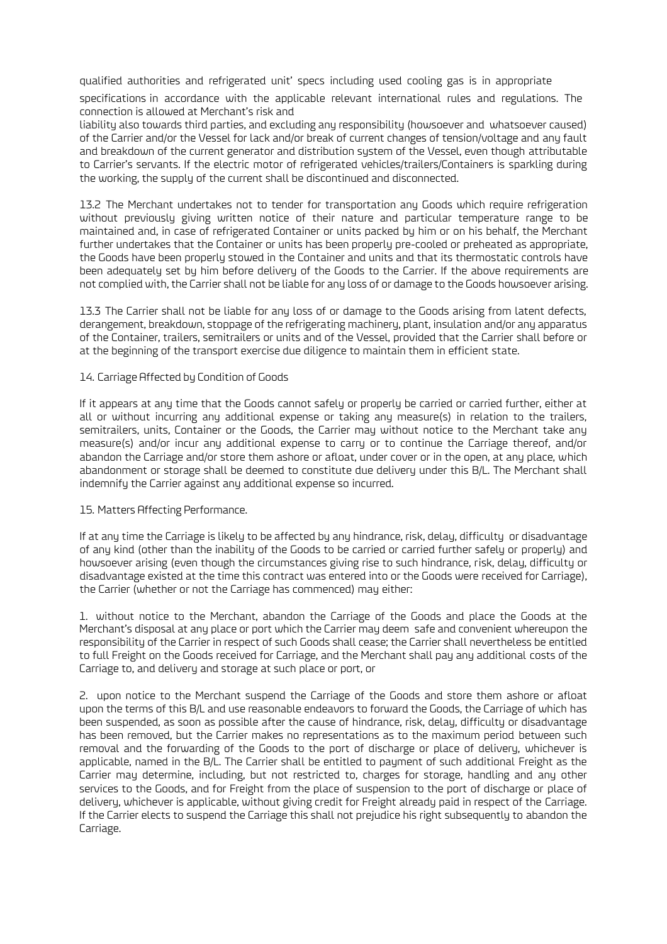qualified authorities and refrigerated unit' specs including used cooling gas is in appropriate

specifications in accordance with the applicable relevant international rules and regulations. The connection is allowed at Merchant's risk and

liability also towards third parties, and excluding any responsibility (howsoever and whatsoever caused) of the Carrier and/or the Vessel for lack and/or break of current changes of tension/voltage and any fault and breakdown of the current generator and distribution system of the Vessel, even though attributable to Carrier's servants. If the electric motor of refrigerated vehicles/trailers/Containers is sparkling during the working, the supply of the current shall be discontinued and disconnected.

13.2 The Merchant undertakes not to tender for transportation any Goods which require refrigeration without previously giving written notice of their nature and particular temperature range to be maintained and, in case of refrigerated Container or units packed by him or on his behalf, the Merchant further undertakes that the Container or units has been properly pre-cooled or preheated as appropriate, the Goods have been properly stowed in the Container and units and that its thermostatic controls have been adequately set by him before delivery of the Goods to the Carrier. If the above requirements are not complied with, the Carrier shall not be liable for any loss of or damage to the Goods howsoever arising.

13.3 The Carrier shall not be liable for any loss of or damage to the Goods arising from latent defects, derangement, breakdown, stoppage of the refrigerating machinery, plant, insulation and/or any apparatus of the Container, trailers, semitrailers or units and of the Vessel, provided that the Carrier shall before or at the beginning of the transport exercise due diligence to maintain them in efficient state.

### 14. Carriage Affected by Condition of Goods

If it appears at any time that the Goods cannot safely or properly be carried or carried further, either at all or without incurring any additional expense or taking any measure(s) in relation to the trailers, semitrailers, units, Container or the Goods, the Carrier may without notice to the Merchant take any measure(s) and/or incur any additional expense to carry or to continue the Carriage thereof, and/or abandon the Carriage and/or store them ashore or afloat, under cover or in the open, at any place, which abandonment or storage shall be deemed to constitute due delivery under this B/L. The Merchant shall indemnify the Carrier against any additional expense so incurred.

### 15. Matters Affecting Performance.

If at any time the Carriage is likely to be affected by any hindrance, risk, delay, difficulty or disadvantage of any kind (other than the inability of the Goods to be carried or carried further safely or properly) and howsoever arising (even though the circumstances giving rise to such hindrance, risk, delay, difficulty or disadvantage existed at the time this contract was entered into or the Goods were received for Carriage), the Carrier (whether or not the Carriage has commenced) may either:

1. without notice to the Merchant, abandon the Carriage of the Goods and place the Goods at the Merchant's disposal at any place or port which the Carrier may deem safe and convenient whereupon the responsibility of the Carrier in respect of such Goods shall cease; the Carrier shall nevertheless be entitled to full Freight on the Goods received for Carriage, and the Merchant shall pay any additional costs of the Carriage to, and delivery and storage at such place or port, or

2. upon notice to the Merchant suspend the Carriage of the Goods and store them ashore or afloat upon the terms of this B/L and use reasonable endeavors to forward the Goods, the Carriage of which has been suspended, as soon as possible after the cause of hindrance, risk, delay, difficulty or disadvantage has been removed, but the Carrier makes no representations as to the maximum period between such removal and the forwarding of the Goods to the port of discharge or place of delivery, whichever is applicable, named in the B/L. The Carrier shall be entitled to payment of such additional Freight as the Carrier may determine, including, but not restricted to, charges for storage, handling and any other services to the Goods, and for Freight from the place of suspension to the port of discharge or place of delivery, whichever is applicable, without giving credit for Freight already paid in respect of the Carriage. If the Carrier elects to suspend the Carriage this shall not prejudice his right subsequently to abandon the Carriage.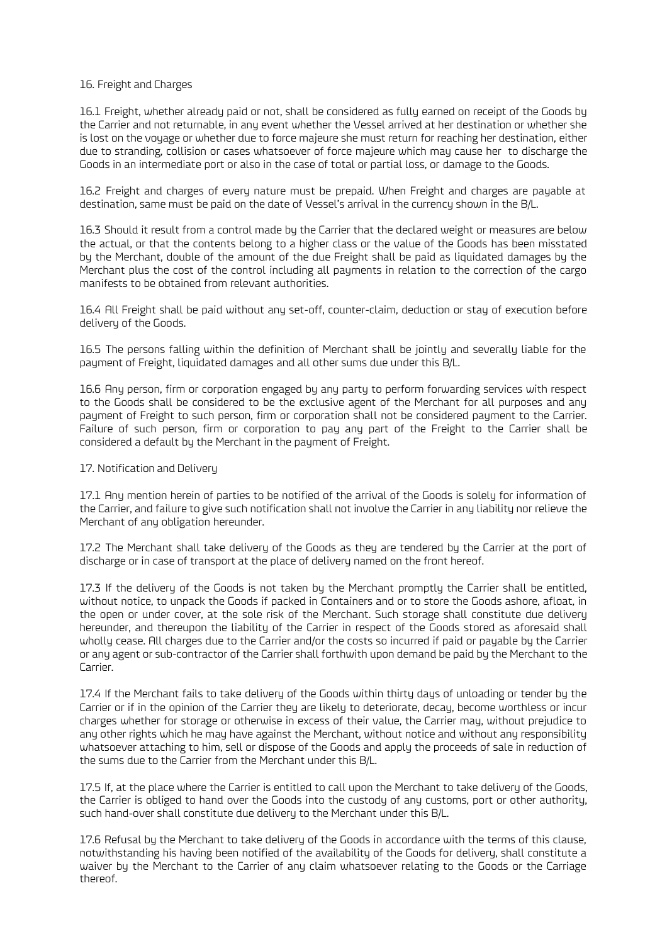### 16. Freight and Charges

16.1 Freight, whether already paid or not, shall be considered as fully earned on receipt of the Goods by the Carrier and not returnable, in any event whether the Vessel arrived at her destination or whether she is lost on the voyage or whether due to force majeure she must return for reaching her destination, either due to stranding, collision or cases whatsoever of force majeure which may cause her to discharge the Goods in an intermediate port or also in the case of total or partial loss, or damage to the Goods.

16.2 Freight and charges of every nature must be prepaid. When Freight and charges are payable at destination, same must be paid on the date of Vessel's arrival in the currency shown in the B/L.

16.3 Should it result from a control made by the Carrier that the declared weight or measures are below the actual, or that the contents belong to a higher class or the value of the Goods has been misstated by the Merchant, double of the amount of the due Freight shall be paid as liquidated damages by the Merchant plus the cost of the control including all payments in relation to the correction of the cargo manifests to be obtained from relevant authorities.

16.4 All Freight shall be paid without any set-off, counter-claim, deduction or stay of execution before delivery of the Goods.

16.5 The persons falling within the definition of Merchant shall be jointly and severally liable for the payment of Freight, liquidated damages and all other sums due under this B/L.

16.6 Any person, firm or corporation engaged by any party to perform forwarding services with respect to the Goods shall be considered to be the exclusive agent of the Merchant for all purposes and any payment of Freight to such person, firm or corporation shall not be considered payment to the Carrier. Failure of such person, firm or corporation to pay any part of the Freight to the Carrier shall be considered a default by the Merchant in the payment of Freight.

### 17. Notification and Delivery

17.1 Any mention herein of parties to be notified of the arrival of the Goods is solely for information of the Carrier, and failure to give such notification shall not involve the Carrier in any liability nor relieve the Merchant of any obligation hereunder.

17.2 The Merchant shall take delivery of the Goods as they are tendered by the Carrier at the port of discharge or in case of transport at the place of delivery named on the front hereof.

17.3 If the delivery of the Goods is not taken by the Merchant promptly the Carrier shall be entitled, without notice, to unpack the Goods if packed in Containers and or to store the Goods ashore, afloat, in the open or under cover, at the sole risk of the Merchant. Such storage shall constitute due delivery hereunder, and thereupon the liability of the Carrier in respect of the Goods stored as aforesaid shall wholly cease. All charges due to the Carrier and/or the costs so incurred if paid or payable by the Carrier or any agent or sub-contractor of the Carrier shall forthwith upon demand be paid by the Merchant to the Carrier.

17.4 If the Merchant fails to take delivery of the Goods within thirty days of unloading or tender by the Carrier or if in the opinion of the Carrier they are likely to deteriorate, decay, become worthless or incur charges whether for storage or otherwise in excess of their value, the Carrier may, without prejudice to any other rights which he may have against the Merchant, without notice and without any responsibility whatsoever attaching to him, sell or dispose of the Goods and apply the proceeds of sale in reduction of the sums due to the Carrier from the Merchant under this B/L.

17.5 If, at the place where the Carrier is entitled to call upon the Merchant to take delivery of the Goods, the Carrier is obliged to hand over the Goods into the custody of any customs, port or other authority, such hand-over shall constitute due delivery to the Merchant under this B/L.

17.6 Refusal by the Merchant to take delivery of the Goods in accordance with the terms of this clause, notwithstanding his having been notified of the availability of the Goods for delivery, shall constitute a waiver by the Merchant to the Carrier of any claim whatsoever relating to the Goods or the Carriage thereof.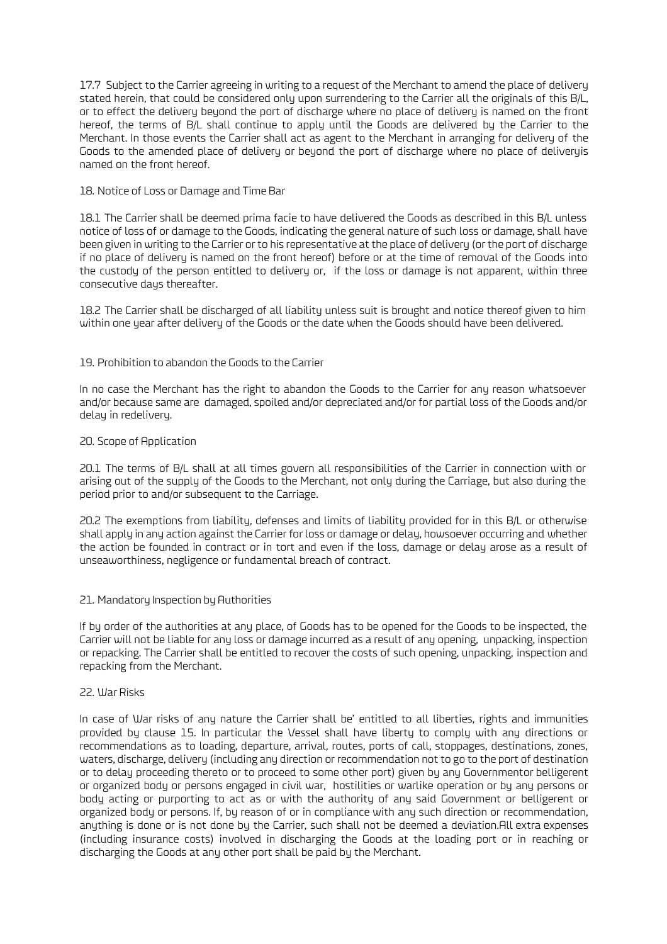17.7 Subject to the Carrier agreeing in writing to a request of the Merchant to amend the place of delivery stated herein, that could be considered only upon surrendering to the Carrier all the originals of this B/L, or to effect the delivery beyond the port of discharge where no place of delivery is named on the front hereof, the terms of B/L shall continue to apply until the Goods are delivered by the Carrier to the Merchant. In those events the Carrier shall act as agent to the Merchant in arranging for delivery of the Goods to the amended place of delivery or beyond the port of discharge where no place of deliveryis named on the front hereof.

### 18. Notice of Loss or Damage and Time Bar

18.1 The Carrier shall be deemed prima facie to have delivered the Goods as described in this B/L unless notice of loss of or damage to the Goods, indicating the general nature of such loss or damage, shall have been given in writing to the Carrier or to his representative at the place of delivery (or the port of discharge if no place of delivery is named on the front hereof) before or at the time of removal of the Goods into the custody of the person entitled to delivery or, if the loss or damage is not apparent, within three consecutive days thereafter.

18.2 The Carrier shall be discharged of all liability unless suit is brought and notice thereof given to him within one year after delivery of the Goods or the date when the Goods should have been delivered.

### 19. Prohibition to abandon the Goods to the Carrier

In no case the Merchant has the right to abandon the Goods to the Carrier for any reason whatsoever and/or because same are damaged, spoiled and/or depreciated and/or for partial loss of the Goods and/or delay in redelivery.

### 20. Scope of Application

20.1 The terms of B/L shall at all times govern all responsibilities of the Carrier in connection with or arising out of the supply of the Goods to the Merchant, not only during the Carriage, but also during the period prior to and/or subsequent to the Carriage.

20.2 The exemptions from liability, defenses and limits of liability provided for in this B/L or otherwise shall apply in any action against the Carrier for loss or damage or delay, howsoever occurring and whether the action be founded in contract or in tort and even if the loss, damage or delay arose as a result of unseaworthiness, negligence or fundamental breach of contract.

### 21. Mandatory Inspection by Authorities

If by order of the authorities at any place, of Goods has to be opened for the Goods to be inspected, the Carrier will not be liable for any loss or damage incurred as a result of any opening, unpacking, inspection or repacking. The Carrier shall be entitled to recover the costs of such opening, unpacking, inspection and repacking from the Merchant.

### 22. War Risks

In case of War risks of any nature the Carrier shall be' entitled to all liberties, rights and immunities provided by clause 15. In particular the Vessel shall have liberty to comply with any directions or recommendations as to loading, departure, arrival, routes, ports of call, stoppages, destinations, zones, waters, discharge, delivery (including any direction or recommendation not to go to the port of destination or to delay proceeding thereto or to proceed to some other port) given by any Governmentor belligerent or organized body or persons engaged in civil war, hostilities or warlike operation or by any persons or body acting or purporting to act as or with the authority of any said Government or belligerent or organized body or persons. If, by reason of or in compliance with any such direction or recommendation, anything is done or is not done by the Carrier, such shall not be deemed a deviation.All extra expenses (including insurance costs) involved in discharging the Goods at the loading port or in reaching or discharging the Goods at any other port shall be paid by the Merchant.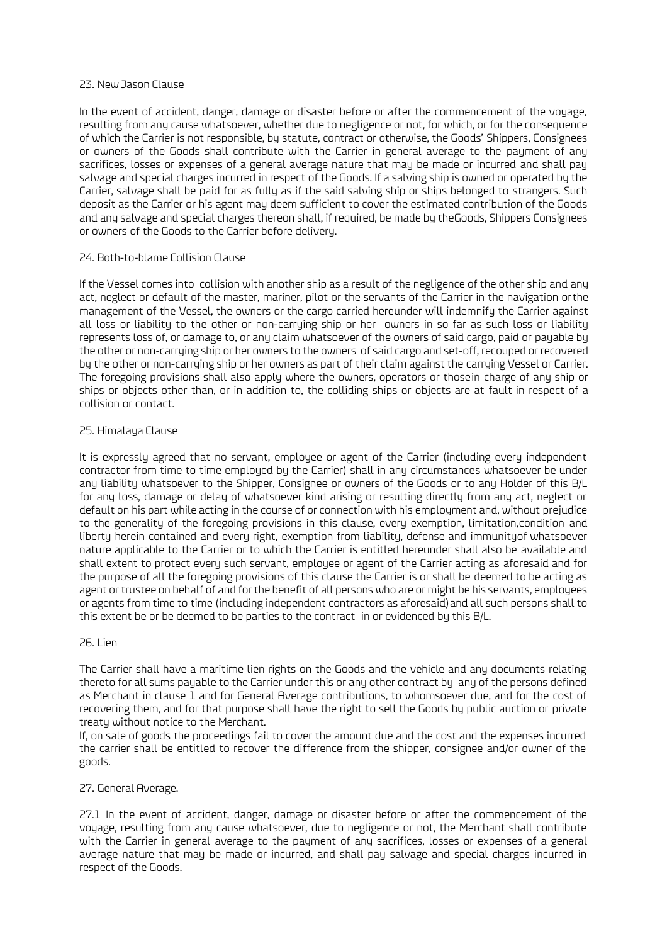### 23. New Jason Clause

In the event of accident, danger, damage or disaster before or after the commencement of the voyage, resulting from any cause whatsoever, whether due to negligence or not, for which, or for the consequence of which the Carrier is not responsible, by statute, contract or otherwise, the Goods' Shippers, Consignees or owners of the Goods shall contribute with the Carrier in general average to the payment of any sacrifices, losses or expenses of a general average nature that may be made or incurred and shall pay salvage and special charges incurred in respect of the Goods. If a salving ship is owned or operated by the Carrier, salvage shall be paid for as fully as if the said salving ship or ships belonged to strangers. Such deposit as the Carrier or his agent may deem sufficient to cover the estimated contribution of the Goods and any salvage and special charges thereon shall, if required, be made by theGoods, Shippers Consignees or owners of the Goods to the Carrier before delivery.

### 24. Both-to-blame Collision Clause

If the Vessel comes into collision with another ship as a result of the negligence of the other ship and any act, neglect or default of the master, mariner, pilot or the servants of the Carrier in the navigation orthe management of the Vessel, the owners or the cargo carried hereunder will indemnify the Carrier against all loss or liability to the other or non-carrying ship or her owners in so far as such loss or liability represents loss of, or damage to, or any claim whatsoever of the owners of said cargo, paid or payable by the other or non-carrying ship or her owners to the owners of said cargo and set-off, recouped or recovered by the other or non-carrying ship or her owners as part of their claim against the carrying Vessel or Carrier. The foregoing provisions shall also apply where the owners, operators or thosein charge of any ship or ships or objects other than, or in addition to, the colliding ships or objects are at fault in respect of a collision or contact.

### 25. Himalaya Clause

It is expressly agreed that no servant, employee or agent of the Carrier (including every independent contractor from time to time employed by the Carrier) shall in any circumstances whatsoever be under any liability whatsoever to the Shipper, Consignee or owners of the Goods or to any Holder of this B/L for any loss, damage or delay of whatsoever kind arising or resulting directly from any act, neglect or default on his part while acting in the course of or connection with his employment and, without prejudice to the generality of the foregoing provisions in this clause, every exemption, limitation,condition and liberty herein contained and every right, exemption from liability, defense and immunityof whatsoever nature applicable to the Carrier or to which the Carrier is entitled hereunder shall also be available and shall extent to protect every such servant, employee or agent of the Carrier acting as aforesaid and for the purpose of all the foregoing provisions of this clause the Carrier is or shall be deemed to be acting as agent or trustee on behalf of and for the benefit of all persons who are or might be his servants, employees or agents from time to time (including independent contractors as aforesaid)and all such persons shall to this extent be or be deemed to be parties to the contract in or evidenced by this B/L.

### 26. Lien

The Carrier shall have a maritime lien rights on the Goods and the vehicle and any documents relating thereto for all sums payable to the Carrier under this or any other contract by any of the persons defined as Merchant in clause 1 and for General Average contributions, to whomsoever due, and for the cost of recovering them, and for that purpose shall have the right to sell the Goods by public auction or private treaty without notice to the Merchant.

If, on sale of goods the proceedings fail to cover the amount due and the cost and the expenses incurred the carrier shall be entitled to recover the difference from the shipper, consignee and/or owner of the goods.

### 27. General Average.

27.1 In the event of accident, danger, damage or disaster before or after the commencement of the voyage, resulting from any cause whatsoever, due to negligence or not, the Merchant shall contribute with the Carrier in general average to the payment of any sacrifices, losses or expenses of a general average nature that may be made or incurred, and shall pay salvage and special charges incurred in respect of the Goods.